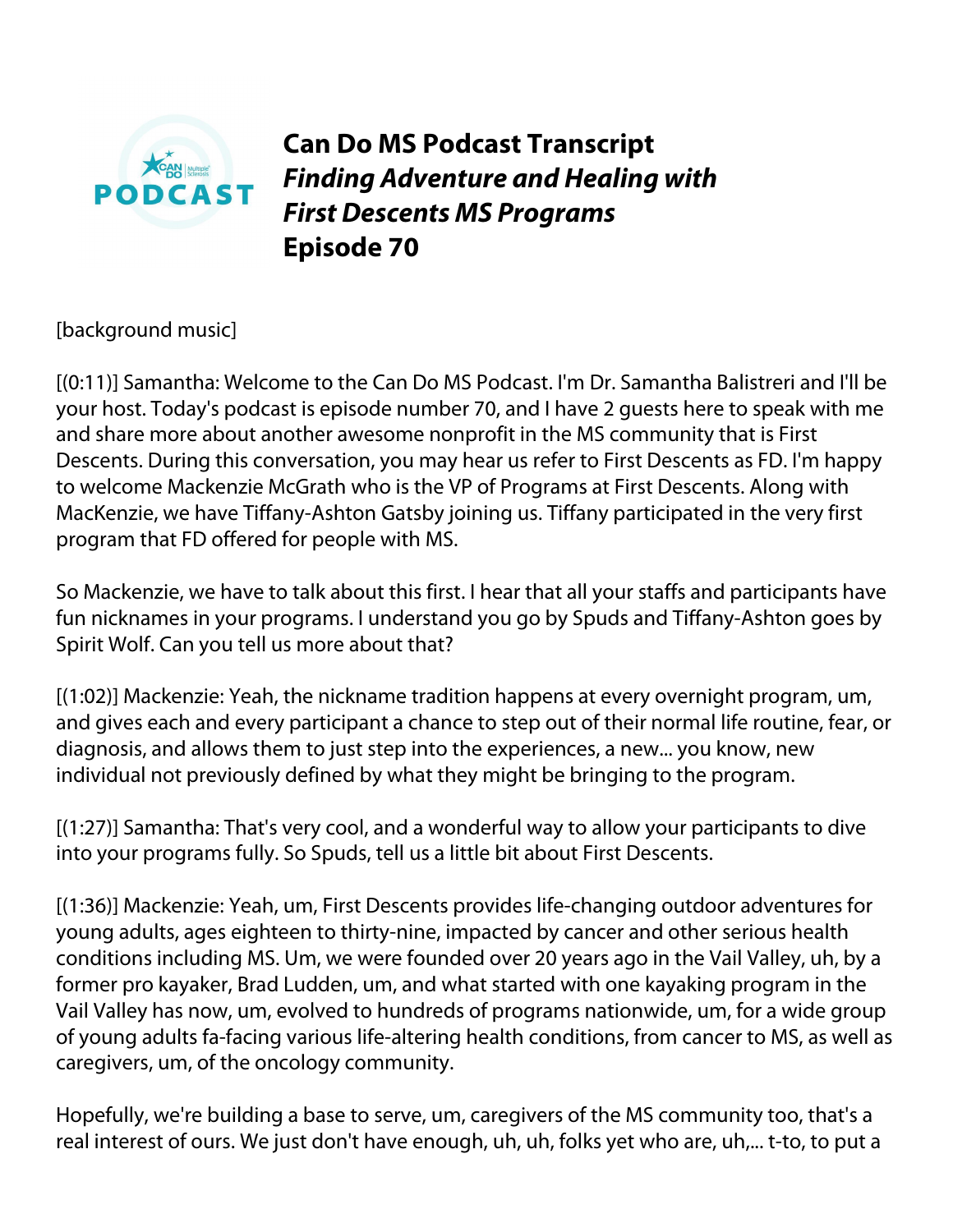

**Can Do MS Podcast Transcript** *Finding Adventure and Healing with First Descents MS Programs* **Episode 70**

[background music]

[(0:11)] Samantha: Welcome to the Can Do MS Podcast. I'm Dr. Samantha Balistreri and I'll be your host. Today's podcast is episode number 70, and I have 2 guests here to speak with me and share more about another awesome nonprofit in the MS community that is First Descents. During this conversation, you may hear us refer to First Descents as FD. I'm happy to welcome Mackenzie McGrath who is the VP of Programs at First Descents. Along with MacKenzie, we have Tiffany-Ashton Gatsby joining us. Tiffany participated in the very first program that FD offered for people with MS.

So Mackenzie, we have to talk about this first. I hear that all your staffs and participants have fun nicknames in your programs. I understand you go by Spuds and Tiffany-Ashton goes by Spirit Wolf. Can you tell us more about that?

[(1:02)] Mackenzie: Yeah, the nickname tradition happens at every overnight program, um, and gives each and every participant a chance to step out of their normal life routine, fear, or diagnosis, and allows them to just step into the experiences, a new... you know, new individual not previously defined by what they might be bringing to the program.

[(1:27)] Samantha: That's very cool, and a wonderful way to allow your participants to dive into your programs fully. So Spuds, tell us a little bit about First Descents.

[(1:36)] Mackenzie: Yeah, um, First Descents provides life-changing outdoor adventures for young adults, ages eighteen to thirty-nine, impacted by cancer and other serious health conditions including MS. Um, we were founded over 20 years ago in the Vail Valley, uh, by a former pro kayaker, Brad Ludden, um, and what started with one kayaking program in the Vail Valley has now, um, evolved to hundreds of programs nationwide, um, for a wide group of young adults fa-facing various life-altering health conditions, from cancer to MS, as well as caregivers, um, of the oncology community.

Hopefully, we're building a base to serve, um, caregivers of the MS community too, that's a real interest of ours. We just don't have enough, uh, uh, folks yet who are, uh,... t-to, to put a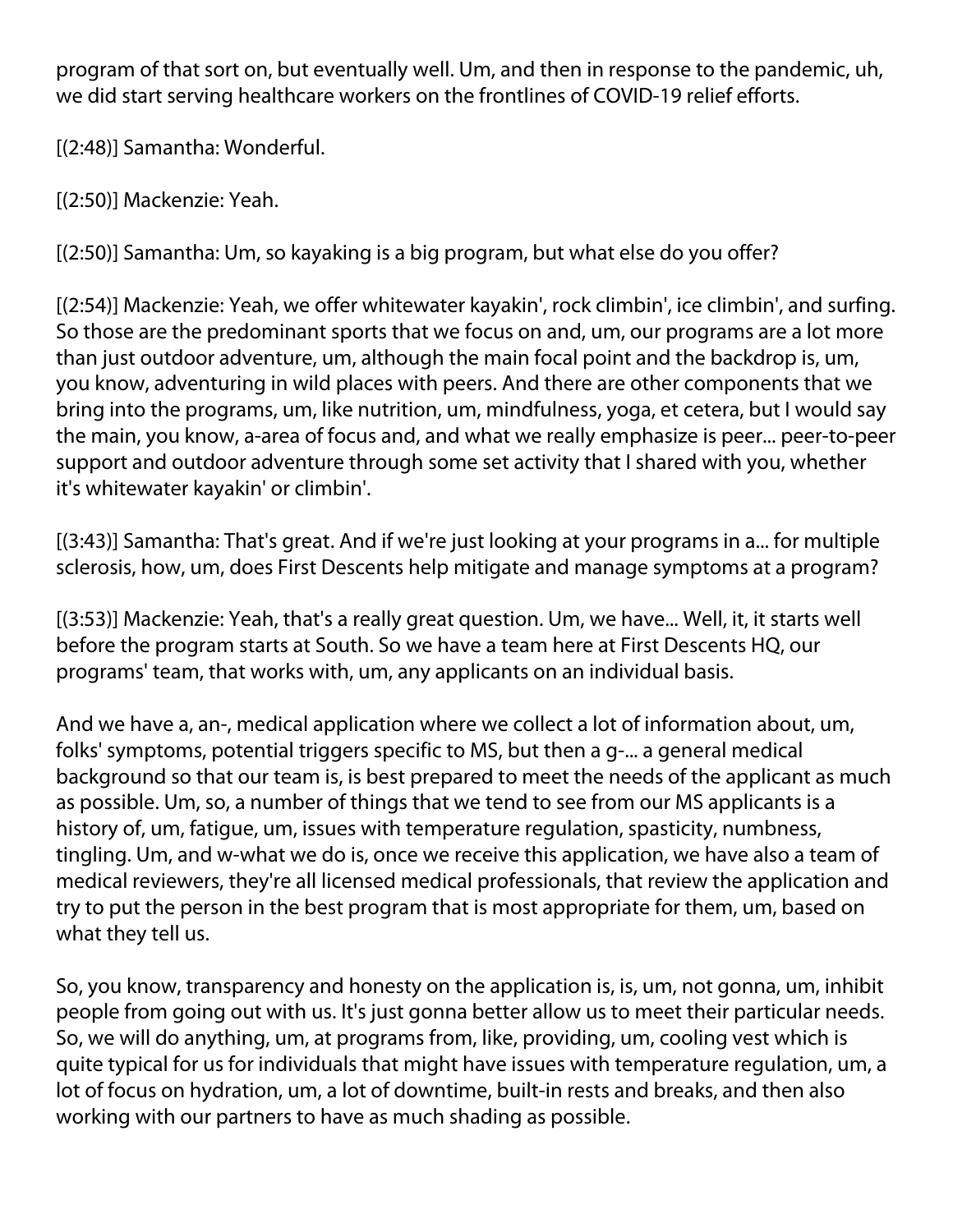program of that sort on, but eventually well. Um, and then in response to the pandemic, uh, we did start serving healthcare workers on the frontlines of COVID-19 relief efforts.

[(2:48)] Samantha: Wonderful.

[(2:50)] Mackenzie: Yeah.

[(2:50)] Samantha: Um, so kayaking is a big program, but what else do you offer?

[(2:54)] Mackenzie: Yeah, we offer whitewater kayakin', rock climbin', ice climbin', and surfing. So those are the predominant sports that we focus on and, um, our programs are a lot more than just outdoor adventure, um, although the main focal point and the backdrop is, um, you know, adventuring in wild places with peers. And there are other components that we bring into the programs, um, like nutrition, um, mindfulness, yoga, et cetera, but I would say the main, you know, a-area of focus and, and what we really emphasize is peer... peer-to-peer support and outdoor adventure through some set activity that I shared with you, whether it's whitewater kayakin' or climbin'.

[(3:43)] Samantha: That's great. And if we're just looking at your programs in a... for multiple sclerosis, how, um, does First Descents help mitigate and manage symptoms at a program?

[(3:53)] Mackenzie: Yeah, that's a really great question. Um, we have... Well, it, it starts well before the program starts at South. So we have a team here at First Descents HQ, our programs' team, that works with, um, any applicants on an individual basis.

And we have a, an-, medical application where we collect a lot of information about, um, folks' symptoms, potential triggers specific to MS, but then a g-... a general medical background so that our team is, is best prepared to meet the needs of the applicant as much as possible. Um, so, a number of things that we tend to see from our MS applicants is a history of, um, fatigue, um, issues with temperature regulation, spasticity, numbness, tingling. Um, and w-what we do is, once we receive this application, we have also a team of medical reviewers, they're all licensed medical professionals, that review the application and try to put the person in the best program that is most appropriate for them, um, based on what they tell us.

So, you know, transparency and honesty on the application is, is, um, not gonna, um, inhibit people from going out with us. It's just gonna better allow us to meet their particular needs. So, we will do anything, um, at programs from, like, providing, um, cooling vest which is quite typical for us for individuals that might have issues with temperature regulation, um, a lot of focus on hydration, um, a lot of downtime, built-in rests and breaks, and then also working with our partners to have as much shading as possible.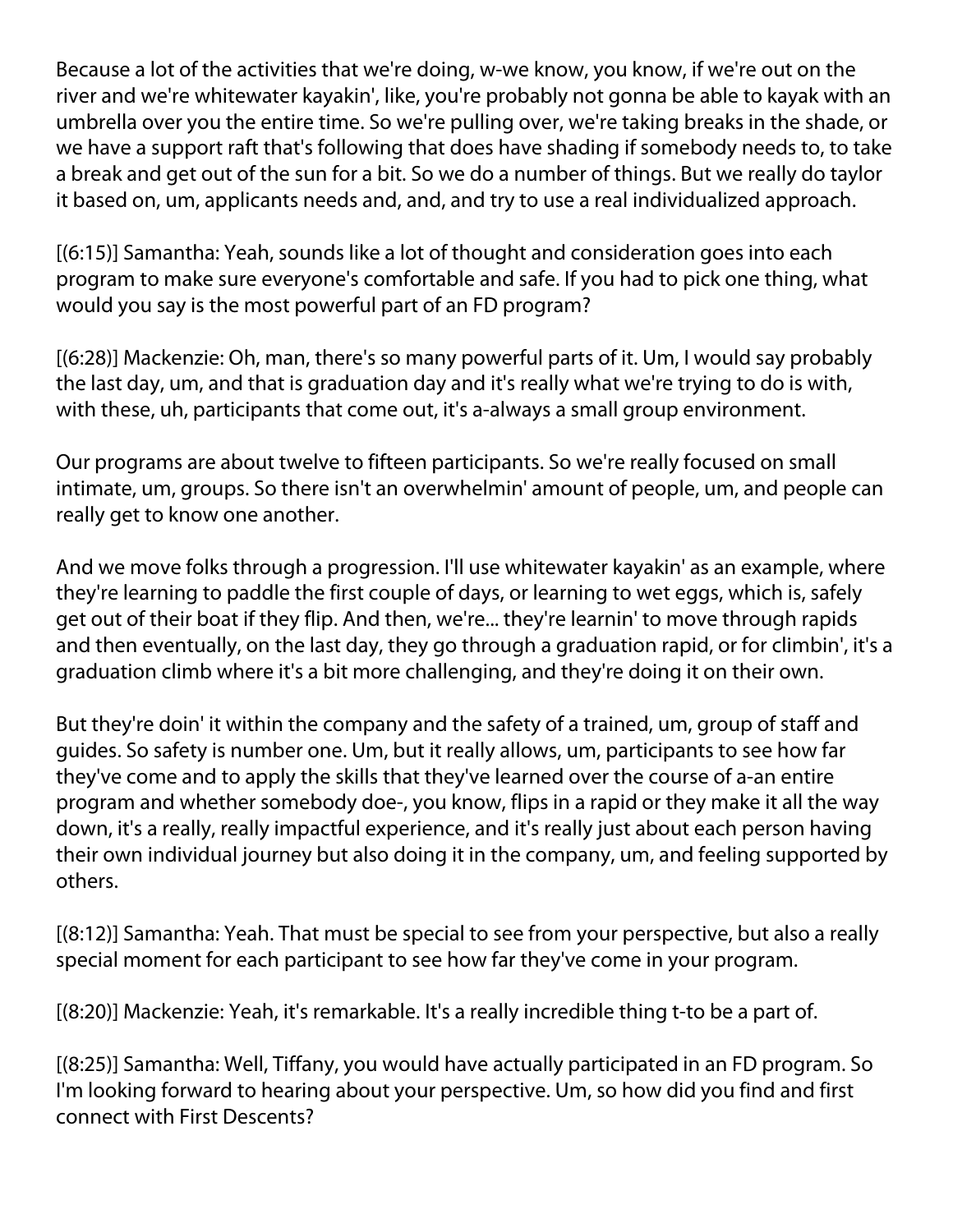Because a lot of the activities that we're doing, w-we know, you know, if we're out on the river and we're whitewater kayakin', like, you're probably not gonna be able to kayak with an umbrella over you the entire time. So we're pulling over, we're taking breaks in the shade, or we have a support raft that's following that does have shading if somebody needs to, to take a break and get out of the sun for a bit. So we do a number of things. But we really do taylor it based on, um, applicants needs and, and, and try to use a real individualized approach.

[(6:15)] Samantha: Yeah, sounds like a lot of thought and consideration goes into each program to make sure everyone's comfortable and safe. If you had to pick one thing, what would you say is the most powerful part of an FD program?

[(6:28)] Mackenzie: Oh, man, there's so many powerful parts of it. Um, I would say probably the last day, um, and that is graduation day and it's really what we're trying to do is with, with these, uh, participants that come out, it's a-always a small group environment.

Our programs are about twelve to fifteen participants. So we're really focused on small intimate, um, groups. So there isn't an overwhelmin' amount of people, um, and people can really get to know one another.

And we move folks through a progression. I'll use whitewater kayakin' as an example, where they're learning to paddle the first couple of days, or learning to wet eggs, which is, safely get out of their boat if they flip. And then, we're... they're learnin' to move through rapids and then eventually, on the last day, they go through a graduation rapid, or for climbin', it's a graduation climb where it's a bit more challenging, and they're doing it on their own.

But they're doin' it within the company and the safety of a trained, um, group of staff and guides. So safety is number one. Um, but it really allows, um, participants to see how far they've come and to apply the skills that they've learned over the course of a-an entire program and whether somebody doe-, you know, flips in a rapid or they make it all the way down, it's a really, really impactful experience, and it's really just about each person having their own individual journey but also doing it in the company, um, and feeling supported by others.

[(8:12)] Samantha: Yeah. That must be special to see from your perspective, but also a really special moment for each participant to see how far they've come in your program.

[(8:20)] Mackenzie: Yeah, it's remarkable. It's a really incredible thing t-to be a part of.

[(8:25)] Samantha: Well, Tiffany, you would have actually participated in an FD program. So I'm looking forward to hearing about your perspective. Um, so how did you find and first connect with First Descents?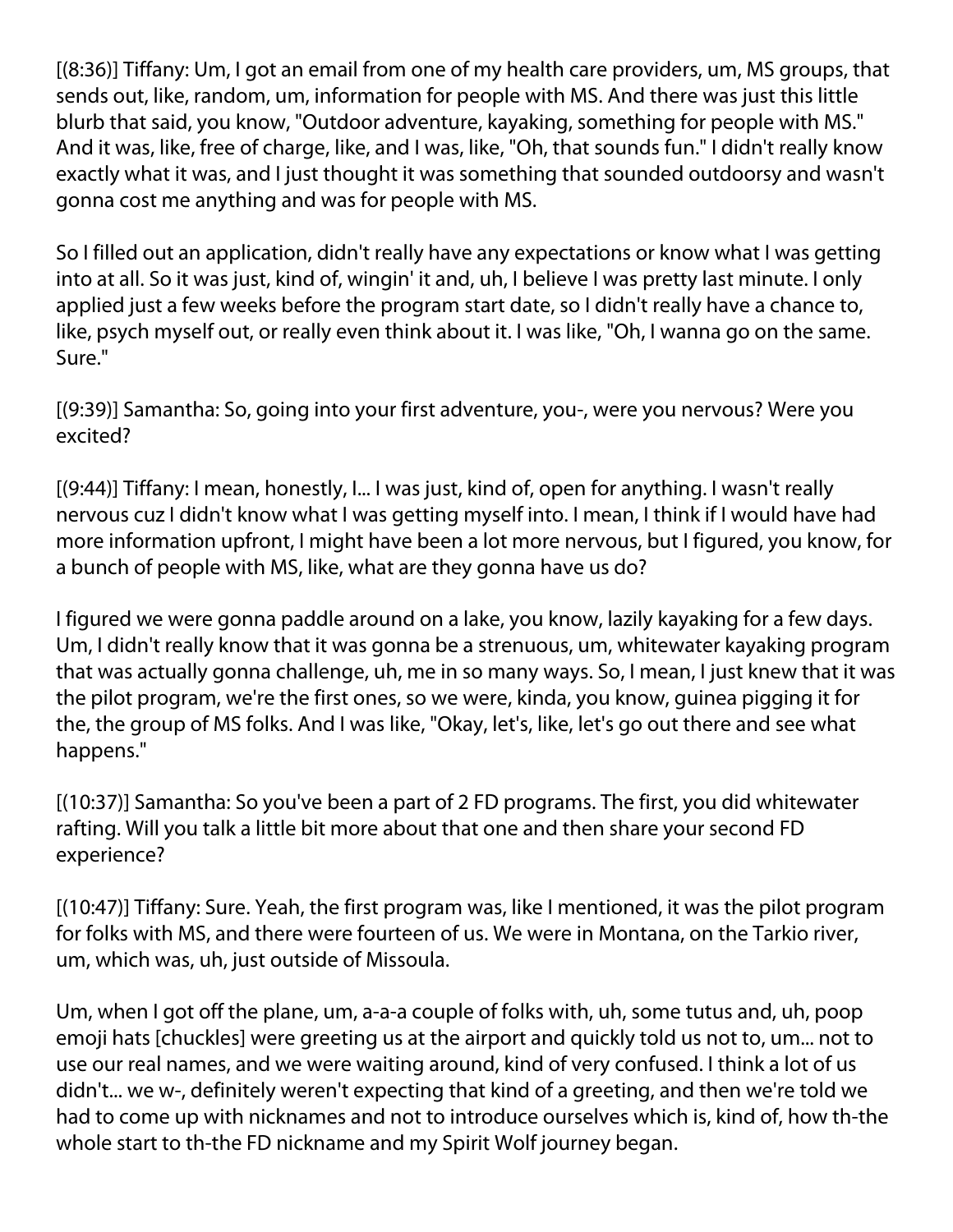[(8:36)] Tiffany: Um, I got an email from one of my health care providers, um, MS groups, that sends out, like, random, um, information for people with MS. And there was just this little blurb that said, you know, "Outdoor adventure, kayaking, something for people with MS." And it was, like, free of charge, like, and I was, like, "Oh, that sounds fun." I didn't really know exactly what it was, and I just thought it was something that sounded outdoorsy and wasn't gonna cost me anything and was for people with MS.

So I filled out an application, didn't really have any expectations or know what I was getting into at all. So it was just, kind of, wingin' it and, uh, I believe I was pretty last minute. I only applied just a few weeks before the program start date, so I didn't really have a chance to, like, psych myself out, or really even think about it. I was like, "Oh, I wanna go on the same. Sure."

[(9:39)] Samantha: So, going into your first adventure, you-, were you nervous? Were you excited?

[(9:44)] Tiffany: I mean, honestly, I... I was just, kind of, open for anything. I wasn't really nervous cuz I didn't know what I was getting myself into. I mean, I think if I would have had more information upfront, I might have been a lot more nervous, but I figured, you know, for a bunch of people with MS, like, what are they gonna have us do?

I figured we were gonna paddle around on a lake, you know, lazily kayaking for a few days. Um, I didn't really know that it was gonna be a strenuous, um, whitewater kayaking program that was actually gonna challenge, uh, me in so many ways. So, I mean, I just knew that it was the pilot program, we're the first ones, so we were, kinda, you know, guinea pigging it for the, the group of MS folks. And I was like, "Okay, let's, like, let's go out there and see what happens."

[(10:37)] Samantha: So you've been a part of 2 FD programs. The first, you did whitewater rafting. Will you talk a little bit more about that one and then share your second FD experience?

[(10:47)] Tiffany: Sure. Yeah, the first program was, like I mentioned, it was the pilot program for folks with MS, and there were fourteen of us. We were in Montana, on the Tarkio river, um, which was, uh, just outside of Missoula.

Um, when I got off the plane, um, a-a-a couple of folks with, uh, some tutus and, uh, poop emoji hats [chuckles] were greeting us at the airport and quickly told us not to, um... not to use our real names, and we were waiting around, kind of very confused. I think a lot of us didn't... we w-, definitely weren't expecting that kind of a greeting, and then we're told we had to come up with nicknames and not to introduce ourselves which is, kind of, how th-the whole start to th-the FD nickname and my Spirit Wolf journey began.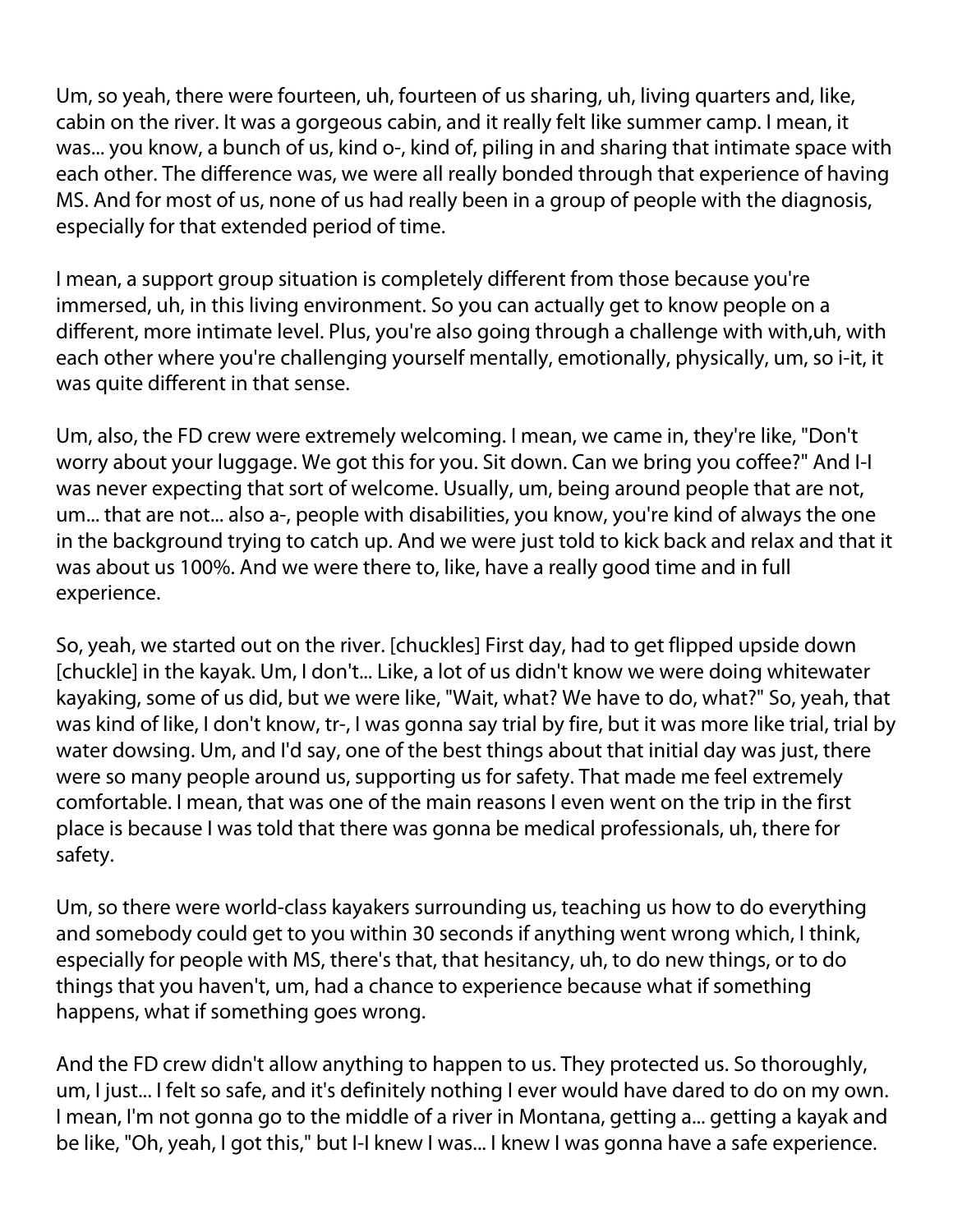Um, so yeah, there were fourteen, uh, fourteen of us sharing, uh, living quarters and, like, cabin on the river. It was a gorgeous cabin, and it really felt like summer camp. I mean, it was... you know, a bunch of us, kind o-, kind of, piling in and sharing that intimate space with each other. The difference was, we were all really bonded through that experience of having MS. And for most of us, none of us had really been in a group of people with the diagnosis, especially for that extended period of time.

I mean, a support group situation is completely different from those because you're immersed, uh, in this living environment. So you can actually get to know people on a different, more intimate level. Plus, you're also going through a challenge with with,uh, with each other where you're challenging yourself mentally, emotionally, physically, um, so i-it, it was quite different in that sense.

Um, also, the FD crew were extremely welcoming. I mean, we came in, they're like, "Don't worry about your luggage. We got this for you. Sit down. Can we bring you coffee?" And I-I was never expecting that sort of welcome. Usually, um, being around people that are not, um... that are not... also a-, people with disabilities, you know, you're kind of always the one in the background trying to catch up. And we were just told to kick back and relax and that it was about us 100%. And we were there to, like, have a really good time and in full experience.

So, yeah, we started out on the river. [chuckles] First day, had to get flipped upside down [chuckle] in the kayak. Um, I don't... Like, a lot of us didn't know we were doing whitewater kayaking, some of us did, but we were like, "Wait, what? We have to do, what?" So, yeah, that was kind of like, I don't know, tr-, I was gonna say trial by fire, but it was more like trial, trial by water dowsing. Um, and I'd say, one of the best things about that initial day was just, there were so many people around us, supporting us for safety. That made me feel extremely comfortable. I mean, that was one of the main reasons I even went on the trip in the first place is because I was told that there was gonna be medical professionals, uh, there for safety.

Um, so there were world-class kayakers surrounding us, teaching us how to do everything and somebody could get to you within 30 seconds if anything went wrong which, I think, especially for people with MS, there's that, that hesitancy, uh, to do new things, or to do things that you haven't, um, had a chance to experience because what if something happens, what if something goes wrong.

And the FD crew didn't allow anything to happen to us. They protected us. So thoroughly, um, I just... I felt so safe, and it's definitely nothing I ever would have dared to do on my own. I mean, I'm not gonna go to the middle of a river in Montana, getting a... getting a kayak and be like, "Oh, yeah, I got this," but I-I knew I was... I knew I was gonna have a safe experience.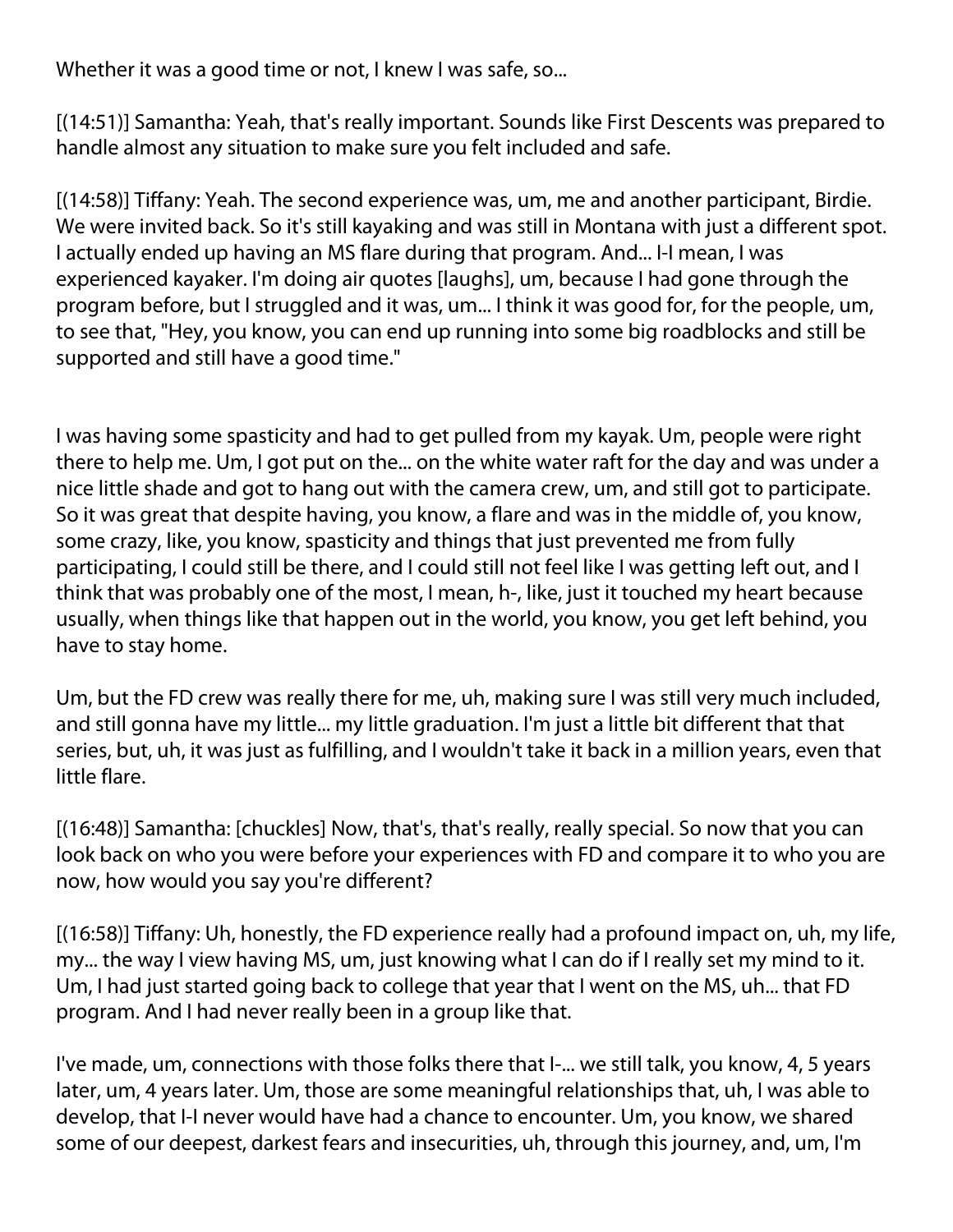Whether it was a good time or not, I knew I was safe, so...

[(14:51)] Samantha: Yeah, that's really important. Sounds like First Descents was prepared to handle almost any situation to make sure you felt included and safe.

[(14:58)] Tiffany: Yeah. The second experience was, um, me and another participant, Birdie. We were invited back. So it's still kayaking and was still in Montana with just a different spot. I actually ended up having an MS flare during that program. And... I-I mean, I was experienced kayaker. I'm doing air quotes [laughs], um, because I had gone through the program before, but I struggled and it was, um... I think it was good for, for the people, um, to see that, "Hey, you know, you can end up running into some big roadblocks and still be supported and still have a good time."

I was having some spasticity and had to get pulled from my kayak. Um, people were right there to help me. Um, I got put on the... on the white water raft for the day and was under a nice little shade and got to hang out with the camera crew, um, and still got to participate. So it was great that despite having, you know, a flare and was in the middle of, you know, some crazy, like, you know, spasticity and things that just prevented me from fully participating, I could still be there, and I could still not feel like I was getting left out, and I think that was probably one of the most, I mean, h-, like, just it touched my heart because usually, when things like that happen out in the world, you know, you get left behind, you have to stay home.

Um, but the FD crew was really there for me, uh, making sure I was still very much included, and still gonna have my little... my little graduation. I'm just a little bit different that that series, but, uh, it was just as fulfilling, and I wouldn't take it back in a million years, even that little flare.

[(16:48)] Samantha: [chuckles] Now, that's, that's really, really special. So now that you can look back on who you were before your experiences with FD and compare it to who you are now, how would you say you're different?

[(16:58)] Tiffany: Uh, honestly, the FD experience really had a profound impact on, uh, my life, my... the way I view having MS, um, just knowing what I can do if I really set my mind to it. Um, I had just started going back to college that year that I went on the MS, uh... that FD program. And I had never really been in a group like that.

I've made, um, connections with those folks there that I-... we still talk, you know, 4, 5 years later, um, 4 years later. Um, those are some meaningful relationships that, uh, I was able to develop, that I-I never would have had a chance to encounter. Um, you know, we shared some of our deepest, darkest fears and insecurities, uh, through this journey, and, um, I'm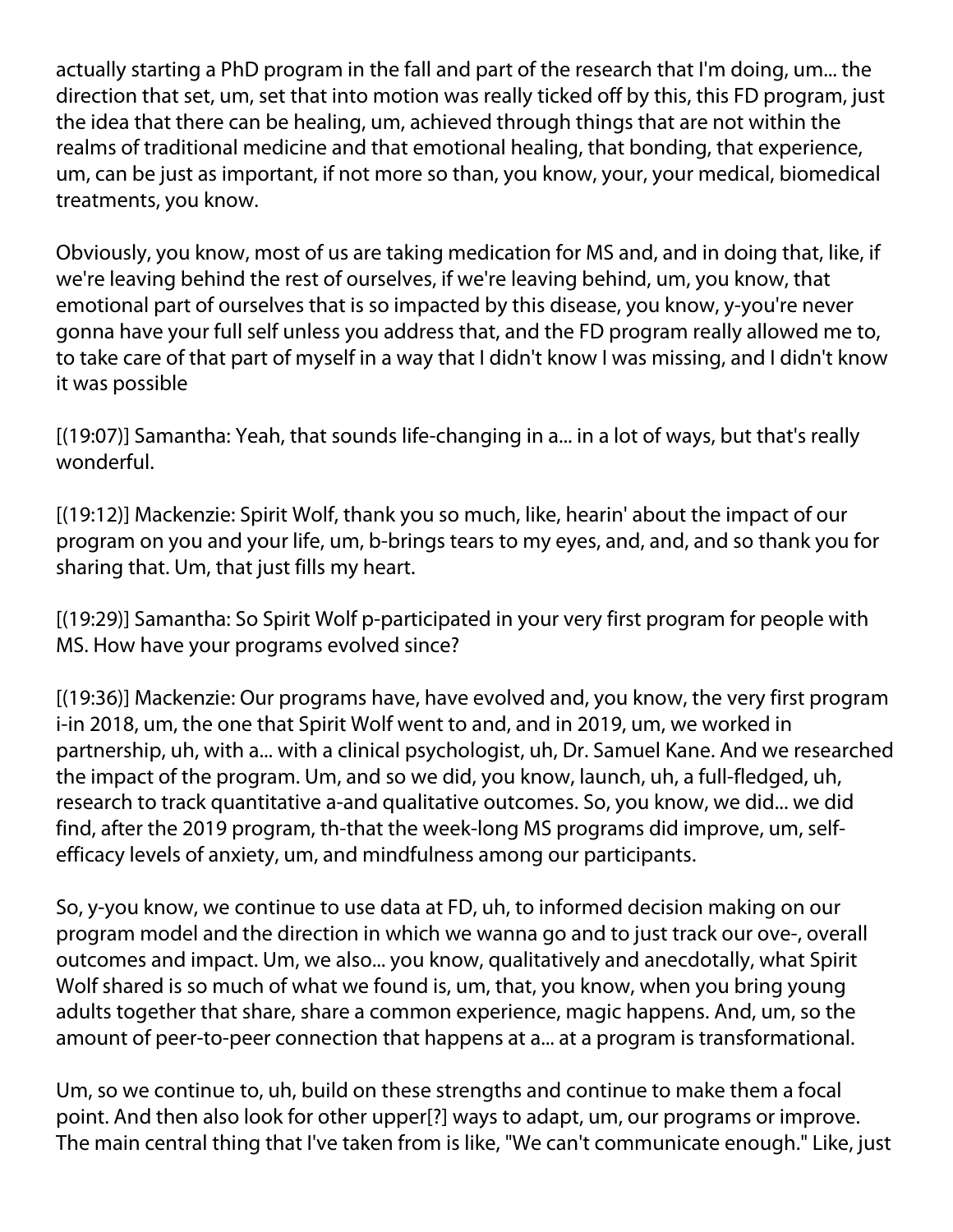actually starting a PhD program in the fall and part of the research that I'm doing, um... the direction that set, um, set that into motion was really ticked off by this, this FD program, just the idea that there can be healing, um, achieved through things that are not within the realms of traditional medicine and that emotional healing, that bonding, that experience, um, can be just as important, if not more so than, you know, your, your medical, biomedical treatments, you know.

Obviously, you know, most of us are taking medication for MS and, and in doing that, like, if we're leaving behind the rest of ourselves, if we're leaving behind, um, you know, that emotional part of ourselves that is so impacted by this disease, you know, y-you're never gonna have your full self unless you address that, and the FD program really allowed me to, to take care of that part of myself in a way that I didn't know I was missing, and I didn't know it was possible

[(19:07)] Samantha: Yeah, that sounds life-changing in a... in a lot of ways, but that's really wonderful.

[(19:12)] Mackenzie: Spirit Wolf, thank you so much, like, hearin' about the impact of our program on you and your life, um, b-brings tears to my eyes, and, and, and so thank you for sharing that. Um, that just fills my heart.

[(19:29)] Samantha: So Spirit Wolf p-participated in your very first program for people with MS. How have your programs evolved since?

[(19:36)] Mackenzie: Our programs have, have evolved and, you know, the very first program i-in 2018, um, the one that Spirit Wolf went to and, and in 2019, um, we worked in partnership, uh, with a... with a clinical psychologist, uh, Dr. Samuel Kane. And we researched the impact of the program. Um, and so we did, you know, launch, uh, a full-fledged, uh, research to track quantitative a-and qualitative outcomes. So, you know, we did... we did find, after the 2019 program, th-that the week-long MS programs did improve, um, selfefficacy levels of anxiety, um, and mindfulness among our participants.

So, y-you know, we continue to use data at FD, uh, to informed decision making on our program model and the direction in which we wanna go and to just track our ove-, overall outcomes and impact. Um, we also... you know, qualitatively and anecdotally, what Spirit Wolf shared is so much of what we found is, um, that, you know, when you bring young adults together that share, share a common experience, magic happens. And, um, so the amount of peer-to-peer connection that happens at a... at a program is transformational.

Um, so we continue to, uh, build on these strengths and continue to make them a focal point. And then also look for other upper[?] ways to adapt, um, our programs or improve. The main central thing that I've taken from is like, "We can't communicate enough." Like, just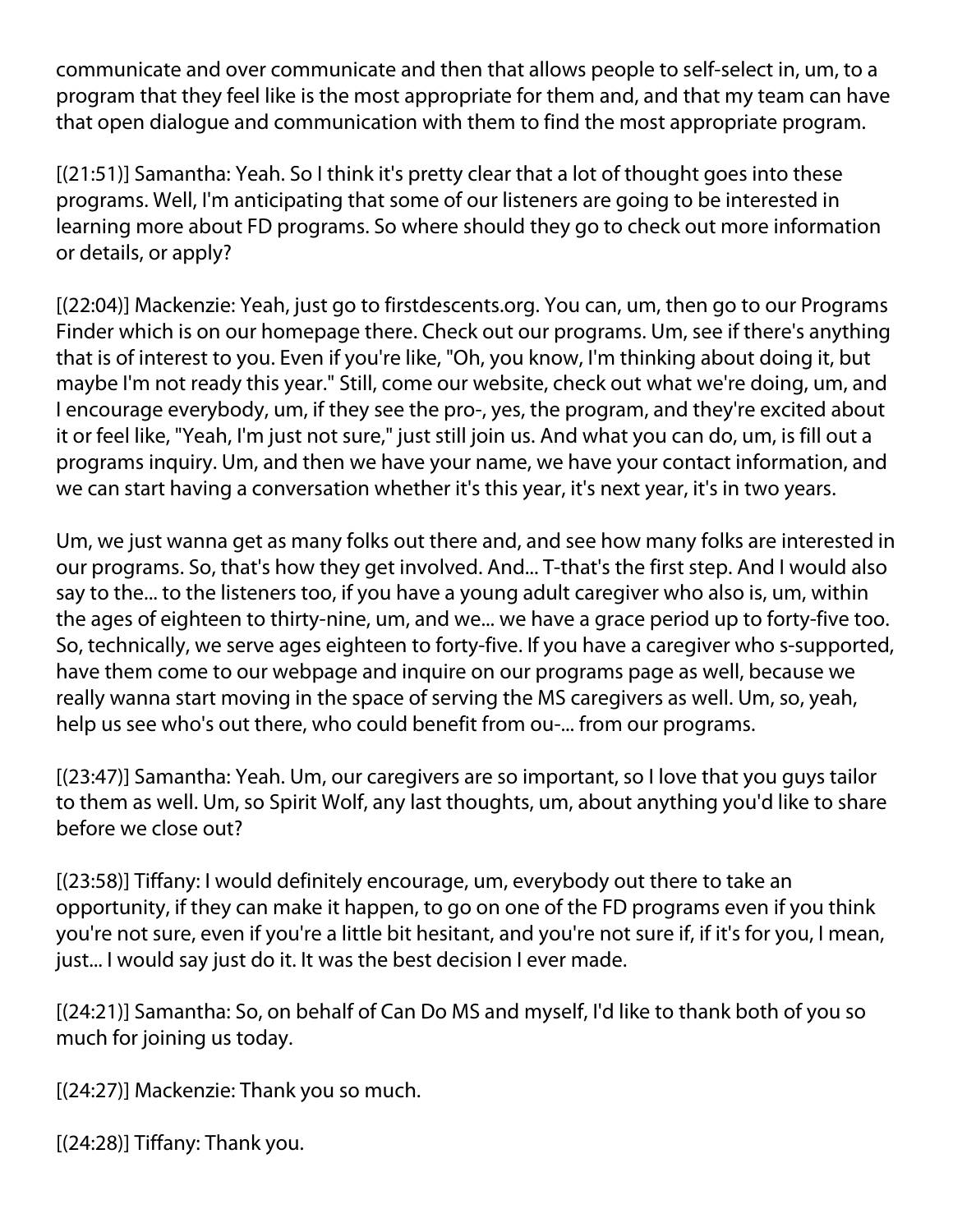communicate and over communicate and then that allows people to self-select in, um, to a program that they feel like is the most appropriate for them and, and that my team can have that open dialogue and communication with them to find the most appropriate program.

[(21:51)] Samantha: Yeah. So I think it's pretty clear that a lot of thought goes into these programs. Well, I'm anticipating that some of our listeners are going to be interested in learning more about FD programs. So where should they go to check out more information or details, or apply?

[(22:04)] Mackenzie: Yeah, just go to firstdescents.org. You can, um, then go to our Programs Finder which is on our homepage there. Check out our programs. Um, see if there's anything that is of interest to you. Even if you're like, "Oh, you know, I'm thinking about doing it, but maybe I'm not ready this year." Still, come our website, check out what we're doing, um, and I encourage everybody, um, if they see the pro-, yes, the program, and they're excited about it or feel like, "Yeah, I'm just not sure," just still join us. And what you can do, um, is fill out a programs inquiry. Um, and then we have your name, we have your contact information, and we can start having a conversation whether it's this year, it's next year, it's in two years.

Um, we just wanna get as many folks out there and, and see how many folks are interested in our programs. So, that's how they get involved. And... T-that's the first step. And I would also say to the... to the listeners too, if you have a young adult caregiver who also is, um, within the ages of eighteen to thirty-nine, um, and we... we have a grace period up to forty-five too. So, technically, we serve ages eighteen to forty-five. If you have a caregiver who s-supported, have them come to our webpage and inquire on our programs page as well, because we really wanna start moving in the space of serving the MS caregivers as well. Um, so, yeah, help us see who's out there, who could benefit from ou-... from our programs.

[(23:47)] Samantha: Yeah. Um, our caregivers are so important, so I love that you guys tailor to them as well. Um, so Spirit Wolf, any last thoughts, um, about anything you'd like to share before we close out?

[(23:58)] Tiffany: I would definitely encourage, um, everybody out there to take an opportunity, if they can make it happen, to go on one of the FD programs even if you think you're not sure, even if you're a little bit hesitant, and you're not sure if, if it's for you, I mean, just... I would say just do it. It was the best decision I ever made.

[(24:21)] Samantha: So, on behalf of Can Do MS and myself, I'd like to thank both of you so much for joining us today.

[(24:27)] Mackenzie: Thank you so much.

[(24:28)] Tiffany: Thank you.